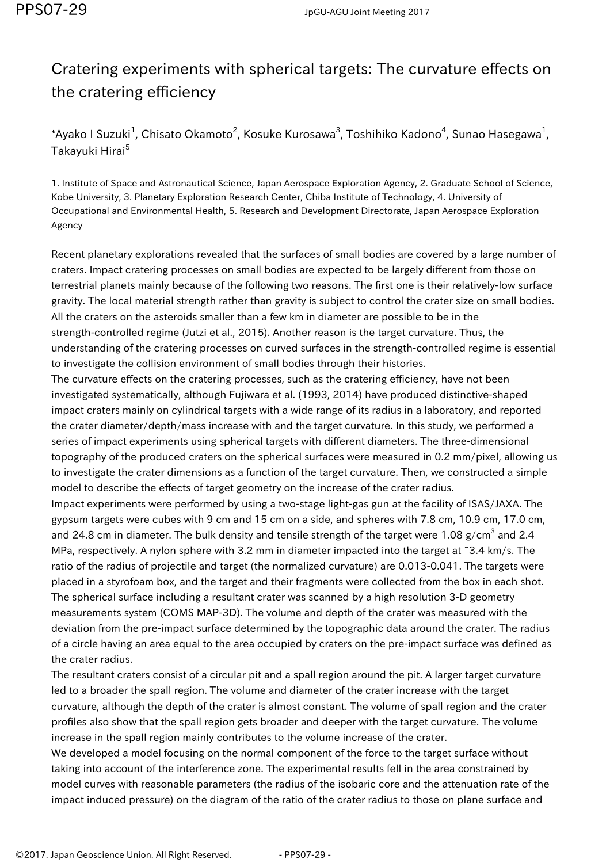## Cratering experiments with spherical targets: The curvature effects on the cratering efficiency

\*Ayako I Suzuki<sup>1</sup>, Chisato Okamoto<sup>2</sup>, Kosuke Kurosawa<sup>3</sup>, Toshihiko Kadono<sup>4</sup>, Sunao Hasegawa<sup>1</sup>, Takayuki Hirai<sup>5</sup>

1. Institute of Space and Astronautical Science, Japan Aerospace Exploration Agency, 2. Graduate School of Science, Kobe University, 3. Planetary Exploration Research Center, Chiba Institute of Technology, 4. University of Occupational and Environmental Health, 5. Research and Development Directorate, Japan Aerospace Exploration Agency

Recent planetary explorations revealed that the surfaces of small bodies are covered by a large number of craters. Impact cratering processes on small bodies are expected to be largely different from those on terrestrial planets mainly because of the following two reasons. The first one is their relatively-low surface gravity. The local material strength rather than gravity is subject to control the crater size on small bodies. All the craters on the asteroids smaller than a few km in diameter are possible to be in the strength-controlled regime (Jutzi et al., 2015). Another reason is the target curvature. Thus, the understanding of the cratering processes on curved surfaces in the strength-controlled regime is essential to investigate the collision environment of small bodies through their histories.

The curvature effects on the cratering processes, such as the cratering efficiency, have not been investigated systematically, although Fujiwara et al. (1993, 2014) have produced distinctive-shaped impact craters mainly on cylindrical targets with a wide range of its radius in a laboratory, and reported the crater diameter/depth/mass increase with and the target curvature. In this study, we performed a series of impact experiments using spherical targets with different diameters. The three-dimensional topography of the produced craters on the spherical surfaces were measured in 0.2 mm/pixel, allowing us to investigate the crater dimensions as a function of the target curvature. Then, we constructed a simple model to describe the effects of target geometry on the increase of the crater radius.

Impact experiments were performed by using a two-stage light-gas gun at the facility of ISAS/JAXA. The gypsum targets were cubes with 9 cm and 15 cm on a side, and spheres with 7.8 cm, 10.9 cm, 17.0 cm, and 24.8 cm in diameter. The bulk density and tensile strength of the target were 1.08 g/cm<sup>3</sup> and 2.4 MPa, respectively. A nylon sphere with 3.2 mm in diameter impacted into the target at ~3.4 km/s. The ratio of the radius of projectile and target (the normalized curvature) are 0.013-0.041. The targets were placed in a styrofoam box, and the target and their fragments were collected from the box in each shot. The spherical surface including a resultant crater was scanned by a high resolution 3-D geometry measurements system (COMS MAP-3D). The volume and depth of the crater was measured with the deviation from the pre-impact surface determined by the topographic data around the crater. The radius of a circle having an area equal to the area occupied by craters on the pre-impact surface was defined as the crater radius.

The resultant craters consist of a circular pit and a spall region around the pit. A larger target curvature led to a broader the spall region. The volume and diameter of the crater increase with the target curvature, although the depth of the crater is almost constant. The volume of spall region and the crater profiles also show that the spall region gets broader and deeper with the target curvature. The volume increase in the spall region mainly contributes to the volume increase of the crater.

We developed a model focusing on the normal component of the force to the target surface without taking into account of the interference zone. The experimental results fell in the area constrained by model curves with reasonable parameters (the radius of the isobaric core and the attenuation rate of the impact induced pressure) on the diagram of the ratio of the crater radius to those on plane surface and